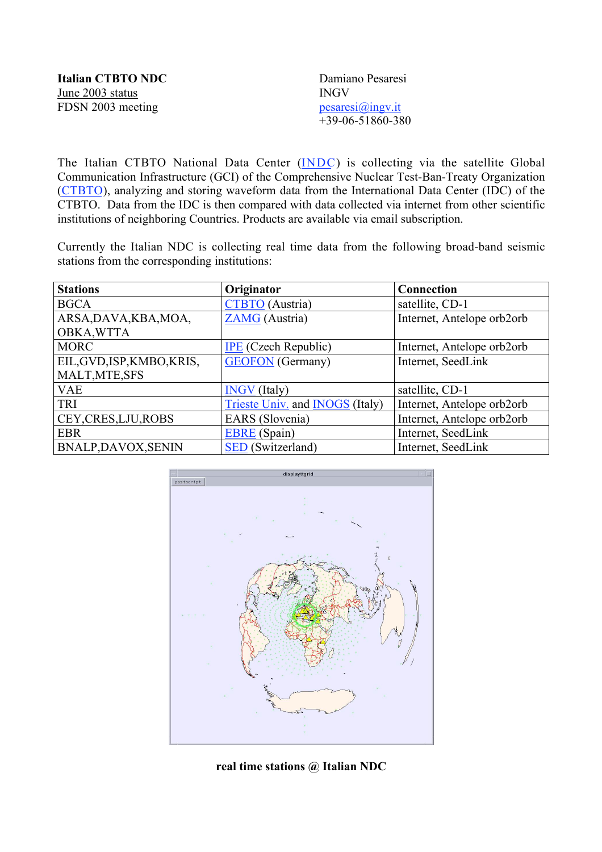| <b>Italian CTBTO NDC</b> | Damiano Pesaresi   |
|--------------------------|--------------------|
| June 2003 status         | <b>INGV</b>        |
| FDSN 2003 meeting        | pesaresi@ingv.it   |
|                          | $+39-06-51860-380$ |

The Italian CTBTO National Data Center (INDC) is collecting via the satellite Global Communication Infrastructure (GCI) of the Comprehensive Nuclear Test-Ban-Treaty Organization (CTBTO), analyzing and storing waveform data from the International Data Center (IDC) of the CTBTO. Data from the IDC is then compared with data collected via internet from other scientific institutions of neighboring Countries. Products are available via email subscription.

Currently the Italian NDC is collecting real time data from the following broad-band seismic stations from the corresponding institutions:

| <b>Stations</b>            | Originator                                    | Connection                 |
|----------------------------|-----------------------------------------------|----------------------------|
| <b>BGCA</b>                | <b>CTBTO</b> (Austria)                        | satellite, CD-1            |
| ARSA, DAVA, KBA, MOA,      | <b>ZAMG</b> (Austria)                         | Internet, Antelope orb2orb |
| OBKA, WTTA                 |                                               |                            |
| <b>MORC</b>                | <b>IPE</b> (Czech Republic)                   | Internet, Antelope orb2orb |
| EIL, GVD, ISP, KMBO, KRIS, | <b>GEOFON</b> (Germany)                       | Internet, SeedLink         |
| MALT, MTE, SFS             |                                               |                            |
| <b>VAE</b>                 | <b>INGV</b> (Italy)                           | satellite, CD-1            |
| TRI                        | <b>Trieste Univ.</b> and <b>INOGS</b> (Italy) | Internet, Antelope orb2orb |
| CEY, CRES, LJU, ROBS       | EARS (Slovenia)                               | Internet, Antelope orb2orb |
| <b>EBR</b>                 | <b>EBRE</b> (Spain)                           | Internet, SeedLink         |
| <b>BNALP,DAVOX,SENIN</b>   | <b>SED</b> (Switzerland)                      | Internet, SeedLink         |



**real time stations @ Italian NDC**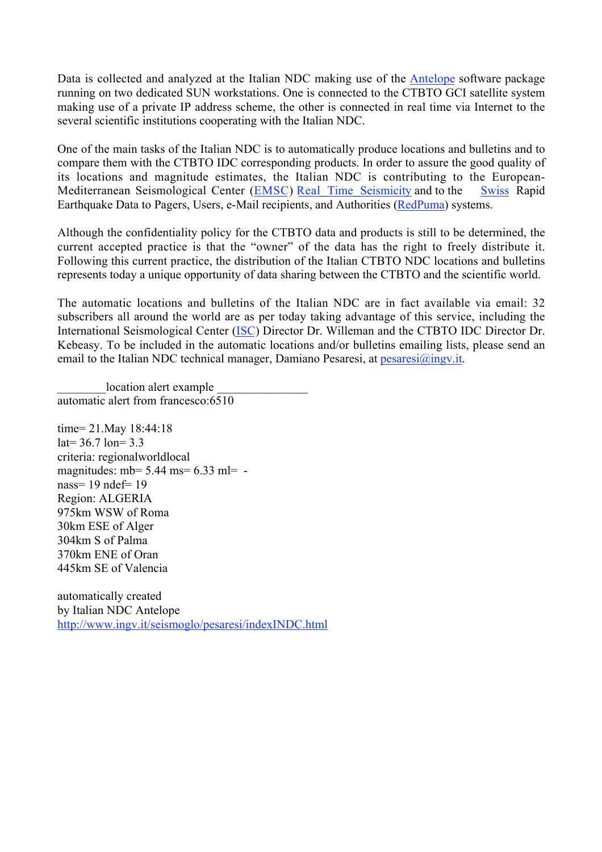Data is collected and analyzed at the Italian NDC making use of the Antelope software package running on two dedicated SUN workstations. One is connected to the CTBTO GCI satellite system making use of a private IP address scheme, the other is connected in real time via Internet to the several scientific institutions cooperating with the Italian NDC.

One of the main tasks of the Italian NDC is to automatically produce locations and bulletins and to compare them with the CTBTO IDC corresponding products. In order to assure the good quality of its locations and magnitude estimates, the Italian NDC is contributing to the European-Mediterranean Seismological Center (EMSC) Real Time Seismicity and to the Swiss Rapid Earthquake Data to Pagers, Users, e-Mail recipients, and Authorities (RedPuma) systems.

Although the confidentiality policy for the CTBTO data and products is still to be determined, the current accepted practice is that the "owner" of the data has the right to freely distribute it. Following this current practice, the distribution of the Italian CTBTO NDC locations and bulletins represents today a unique opportunity of data sharing between the CTBTO and the scientific world.

The automatic locations and bulletins of the Italian NDC are in fact available via email: 32 subscribers all around the world are as per today taking advantage of this service, including the International Seismological Center (ISC) Director Dr. Willeman and the CTBTO IDC Director Dr. Kebeasy. To be included in the automatic locations and/or bulletins emailing lists, please send an email to the Italian NDC technical manager, Damiano Pesaresi, at  $p \cdot \text{e}$  at  $\frac{\partial \text{log}(n, x)}{\partial x}$ .

location alert example automatic alert from francesco:6510

time= 21.May 18:44:18  $lat = 36.7$  lon=  $3.3$ criteria: regionalworldlocal magnitudes: mb=  $5.44$  ms=  $6.33$  ml=  $$ nass= 19 ndef= 19 Region: ALGERIA 975km WSW of Roma 30km ESE of Alger 304km S of Palma 370km ENE of Oran 445km SE of Valencia

automatically created by Italian NDC Antelope http://www.ingv.it/seismoglo/pesaresi/indexINDC.html